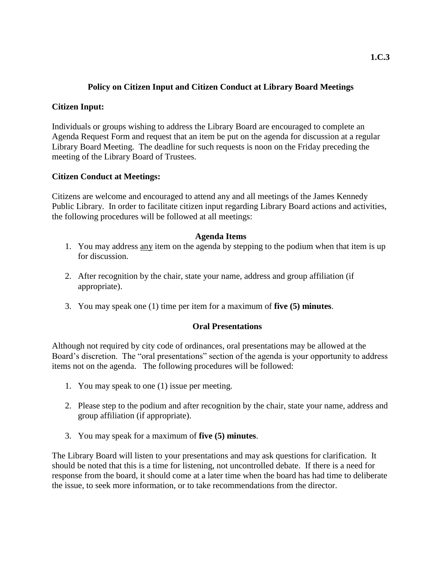# **Policy on Citizen Input and Citizen Conduct at Library Board Meetings**

### **Citizen Input:**

Individuals or groups wishing to address the Library Board are encouraged to complete an Agenda Request Form and request that an item be put on the agenda for discussion at a regular Library Board Meeting. The deadline for such requests is noon on the Friday preceding the meeting of the Library Board of Trustees.

## **Citizen Conduct at Meetings:**

Citizens are welcome and encouraged to attend any and all meetings of the James Kennedy Public Library. In order to facilitate citizen input regarding Library Board actions and activities, the following procedures will be followed at all meetings:

### **Agenda Items**

- 1. You may address any item on the agenda by stepping to the podium when that item is up for discussion.
- 2. After recognition by the chair, state your name, address and group affiliation (if appropriate).
- 3. You may speak one (1) time per item for a maximum of **five (5) minutes**.

### **Oral Presentations**

Although not required by city code of ordinances, oral presentations may be allowed at the Board's discretion. The "oral presentations" section of the agenda is your opportunity to address items not on the agenda. The following procedures will be followed:

- 1. You may speak to one (1) issue per meeting.
- 2. Please step to the podium and after recognition by the chair, state your name, address and group affiliation (if appropriate).
- 3. You may speak for a maximum of **five (5) minutes**.

The Library Board will listen to your presentations and may ask questions for clarification. It should be noted that this is a time for listening, not uncontrolled debate. If there is a need for response from the board, it should come at a later time when the board has had time to deliberate the issue, to seek more information, or to take recommendations from the director.